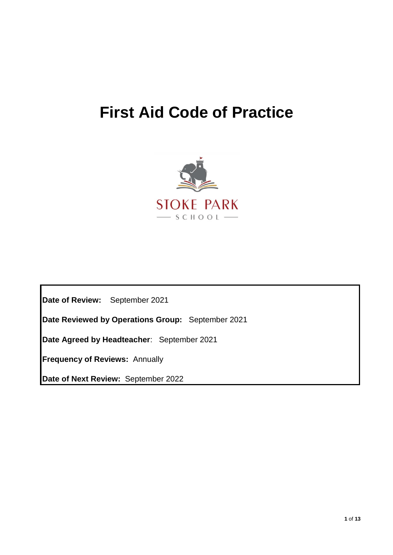# **First Aid Code of Practice**



**Date of Review:** September 2021

**Date Reviewed by Operations Group:** September 2021

**Date Agreed by Headteacher**: September 2021

**Frequency of Reviews:** Annually

**Date of Next Review:** September 2022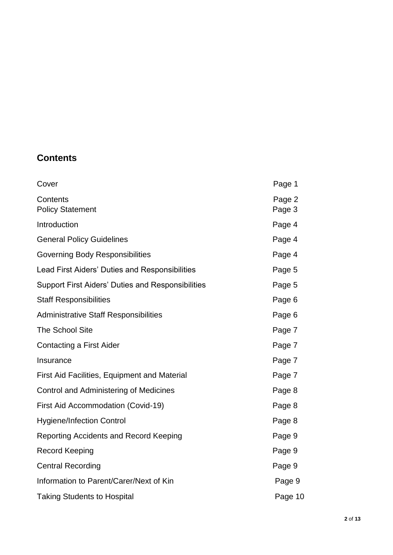## **Contents**

| Cover                                                    | Page 1           |
|----------------------------------------------------------|------------------|
| Contents<br><b>Policy Statement</b>                      | Page 2<br>Page 3 |
| Introduction                                             | Page 4           |
| <b>General Policy Guidelines</b>                         | Page 4           |
| <b>Governing Body Responsibilities</b>                   | Page 4           |
| Lead First Aiders' Duties and Responsibilities           | Page 5           |
| <b>Support First Aiders' Duties and Responsibilities</b> | Page 5           |
| <b>Staff Responsibilities</b>                            | Page 6           |
| <b>Administrative Staff Responsibilities</b>             | Page 6           |
| <b>The School Site</b>                                   | Page 7           |
| <b>Contacting a First Aider</b>                          | Page 7           |
| Insurance                                                | Page 7           |
| <b>First Aid Facilities, Equipment and Material</b>      | Page 7           |
| Control and Administering of Medicines                   | Page 8           |
| First Aid Accommodation (Covid-19)                       | Page 8           |
| <b>Hygiene/Infection Control</b>                         | Page 8           |
| Reporting Accidents and Record Keeping                   | Page 9           |
| <b>Record Keeping</b>                                    | Page 9           |
| <b>Central Recording</b>                                 | Page 9           |
| Information to Parent/Carer/Next of Kin                  | Page 9           |
| <b>Taking Students to Hospital</b>                       | Page 10          |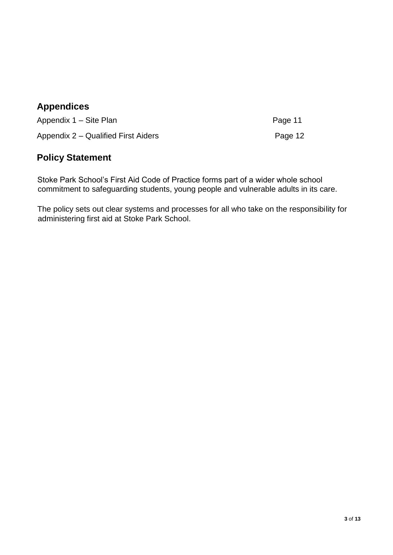## **Appendices**

Appendix 1 – Site Plan Page 11 Appendix 2 – Qualified First Aiders **Page 12** Page 12

## **Policy Statement**

Stoke Park School's First Aid Code of Practice forms part of a wider whole school commitment to safeguarding students, young people and vulnerable adults in its care.

The policy sets out clear systems and processes for all who take on the responsibility for administering first aid at Stoke Park School.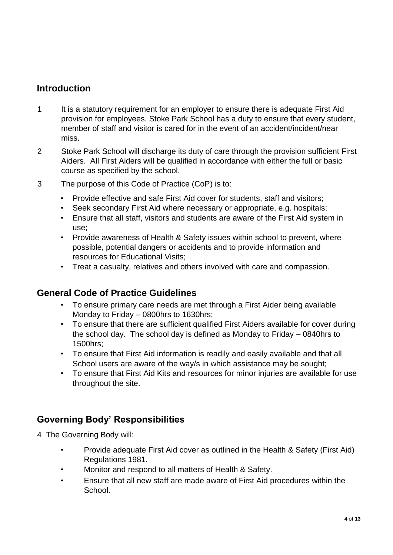## **Introduction**

- 1 It is a statutory requirement for an employer to ensure there is adequate First Aid provision for employees. Stoke Park School has a duty to ensure that every student, member of staff and visitor is cared for in the event of an accident/incident/near miss.
- 2 Stoke Park School will discharge its duty of care through the provision sufficient First Aiders. All First Aiders will be qualified in accordance with either the full or basic course as specified by the school.
- 3 The purpose of this Code of Practice (CoP) is to:
	- Provide effective and safe First Aid cover for students, staff and visitors;
	- Seek secondary First Aid where necessary or appropriate, e.g. hospitals;
	- Ensure that all staff, visitors and students are aware of the First Aid system in use;
	- Provide awareness of Health & Safety issues within school to prevent, where possible, potential dangers or accidents and to provide information and resources for Educational Visits;
	- Treat a casualty, relatives and others involved with care and compassion.

#### **General Code of Practice Guidelines**

- To ensure primary care needs are met through a First Aider being available Monday to Friday – 0800hrs to 1630hrs;
- To ensure that there are sufficient qualified First Aiders available for cover during the school day. The school day is defined as Monday to Friday – 0840hrs to 1500hrs;
- To ensure that First Aid information is readily and easily available and that all School users are aware of the way/s in which assistance may be sought;
- To ensure that First Aid Kits and resources for minor injuries are available for use throughout the site.

#### **Governing Body' Responsibilities**

- 4 The Governing Body will:
	- Provide adequate First Aid cover as outlined in the Health & Safety (First Aid) Regulations 1981.
	- Monitor and respond to all matters of Health & Safety.
	- Ensure that all new staff are made aware of First Aid procedures within the School.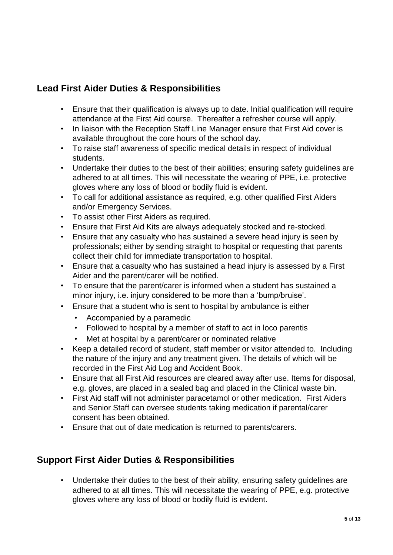## **Lead First Aider Duties & Responsibilities**

- Ensure that their qualification is always up to date. Initial qualification will require attendance at the First Aid course. Thereafter a refresher course will apply.
- In liaison with the Reception Staff Line Manager ensure that First Aid cover is available throughout the core hours of the school day.
- To raise staff awareness of specific medical details in respect of individual students.
- Undertake their duties to the best of their abilities; ensuring safety guidelines are adhered to at all times. This will necessitate the wearing of PPE, i.e. protective gloves where any loss of blood or bodily fluid is evident.
- To call for additional assistance as required, e.g. other qualified First Aiders and/or Emergency Services.
- To assist other First Aiders as required.
- Ensure that First Aid Kits are always adequately stocked and re-stocked.
- Ensure that any casualty who has sustained a severe head injury is seen by professionals; either by sending straight to hospital or requesting that parents collect their child for immediate transportation to hospital.
- Ensure that a casualty who has sustained a head injury is assessed by a First Aider and the parent/carer will be notified.
- To ensure that the parent/carer is informed when a student has sustained a minor injury, i.e. injury considered to be more than a 'bump/bruise'.
- Ensure that a student who is sent to hospital by ambulance is either
	- Accompanied by a paramedic
	- Followed to hospital by a member of staff to act in loco parentis
	- Met at hospital by a parent/carer or nominated relative
- Keep a detailed record of student, staff member or visitor attended to. Including the nature of the injury and any treatment given. The details of which will be recorded in the First Aid Log and Accident Book.
- Ensure that all First Aid resources are cleared away after use. Items for disposal, e.g. gloves, are placed in a sealed bag and placed in the Clinical waste bin.
- First Aid staff will not administer paracetamol or other medication. First Aiders and Senior Staff can oversee students taking medication if parental/carer consent has been obtained.
- Ensure that out of date medication is returned to parents/carers.

## **Support First Aider Duties & Responsibilities**

• Undertake their duties to the best of their ability, ensuring safety guidelines are adhered to at all times. This will necessitate the wearing of PPE, e.g. protective gloves where any loss of blood or bodily fluid is evident.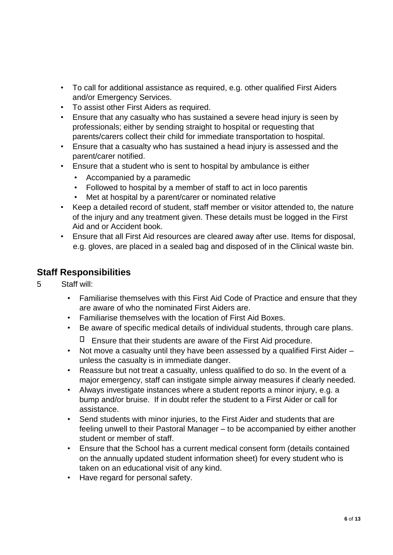- To call for additional assistance as required, e.g. other qualified First Aiders and/or Emergency Services.
- To assist other First Aiders as required.
- Ensure that any casualty who has sustained a severe head injury is seen by professionals; either by sending straight to hospital or requesting that parents/carers collect their child for immediate transportation to hospital.
- Ensure that a casualty who has sustained a head injury is assessed and the parent/carer notified.
- Ensure that a student who is sent to hospital by ambulance is either
	- Accompanied by a paramedic
	- Followed to hospital by a member of staff to act in loco parentis
	- Met at hospital by a parent/carer or nominated relative
- Keep a detailed record of student, staff member or visitor attended to, the nature of the injury and any treatment given. These details must be logged in the First Aid and or Accident book.
- Ensure that all First Aid resources are cleared away after use. Items for disposal, e.g. gloves, are placed in a sealed bag and disposed of in the Clinical waste bin.

#### **Staff Responsibilities**

#### 5 Staff will:

- Familiarise themselves with this First Aid Code of Practice and ensure that they are aware of who the nominated First Aiders are.
- Familiarise themselves with the location of First Aid Boxes.
- Be aware of specific medical details of individual students, through care plans.
	- $\Box$  Ensure that their students are aware of the First Aid procedure.
- Not move a casualty until they have been assessed by a qualified First Aider unless the casualty is in immediate danger.
- Reassure but not treat a casualty, unless qualified to do so. In the event of a major emergency, staff can instigate simple airway measures if clearly needed.
- Always investigate instances where a student reports a minor injury, e.g. a bump and/or bruise. If in doubt refer the student to a First Aider or call for assistance.
- Send students with minor injuries, to the First Aider and students that are feeling unwell to their Pastoral Manager – to be accompanied by either another student or member of staff.
- Ensure that the School has a current medical consent form (details contained on the annually updated student information sheet) for every student who is taken on an educational visit of any kind.
- Have regard for personal safety.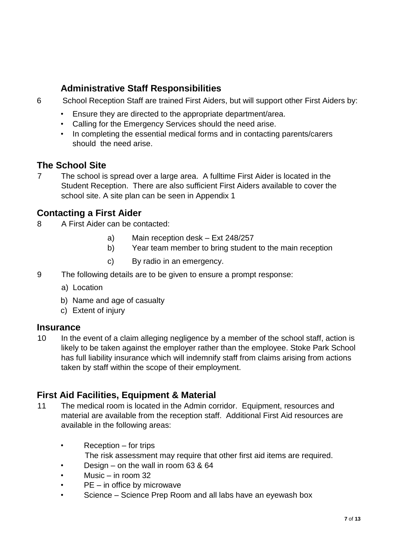## **Administrative Staff Responsibilities**

- 6 School Reception Staff are trained First Aiders, but will support other First Aiders by:
	- Ensure they are directed to the appropriate department/area.
	- Calling for the Emergency Services should the need arise.
	- In completing the essential medical forms and in contacting parents/carers should the need arise.

#### **The School Site**

7 The school is spread over a large area. A fulltime First Aider is located in the Student Reception. There are also sufficient First Aiders available to cover the school site. A site plan can be seen in Appendix 1

#### **Contacting a First Aider**

- 8 A First Aider can be contacted:
	- a) Main reception desk Ext 248/257
	- b) Year team member to bring student to the main reception
	- c) By radio in an emergency.
- 9 The following details are to be given to ensure a prompt response:
	- a) Location
	- b) Name and age of casualty
	- c) Extent of injury

#### **Insurance**

10 In the event of a claim alleging negligence by a member of the school staff, action is likely to be taken against the employer rather than the employee. Stoke Park School has full liability insurance which will indemnify staff from claims arising from actions taken by staff within the scope of their employment.

#### **First Aid Facilities, Equipment & Material**

- 11 The medical room is located in the Admin corridor. Equipment, resources and material are available from the reception staff. Additional First Aid resources are available in the following areas:
	- Reception for trips
		- The risk assessment may require that other first aid items are required.
	- Design on the wall in room 63 & 64
	- Music  $-$  in room 32
	- $PE in$  office by microwave
	- Science Science Prep Room and all labs have an eyewash box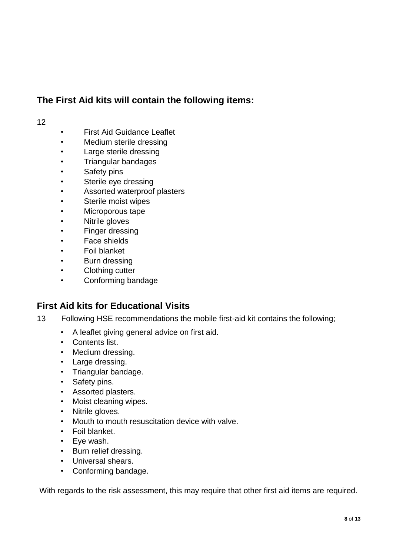## **The First Aid kits will contain the following items:**

#### 12

- First Aid Guidance Leaflet
- Medium sterile dressing
- Large sterile dressing
- Triangular bandages
- Safety pins
- Sterile eye dressing
- Assorted waterproof plasters
- Sterile moist wipes
- Microporous tape
- Nitrile gloves
- Finger dressing
- Face shields
- Foil blanket
- Burn dressing
- Clothing cutter
- Conforming bandage

#### **First Aid kits for Educational Visits**

- 13 Following HSE recommendations the mobile first-aid kit contains the following;
	- A leaflet giving general advice on first aid.
	- Contents list.
	- Medium dressing.
	- Large dressing.
	- Triangular bandage.
	- Safety pins.
	- Assorted plasters.
	- Moist cleaning wipes.
	- Nitrile gloves.
	- Mouth to mouth resuscitation device with valve.
	- Foil blanket.
	- Eye wash.
	- Burn relief dressing.
	- Universal shears.
	- Conforming bandage.

With regards to the risk assessment, this may require that other first aid items are required.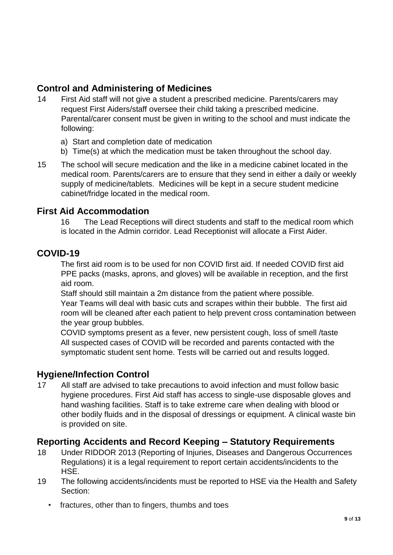## **Control and Administering of Medicines**

- 14 First Aid staff will not give a student a prescribed medicine. Parents/carers may request First Aiders/staff oversee their child taking a prescribed medicine. Parental/carer consent must be given in writing to the school and must indicate the following:
	- a) Start and completion date of medication
	- b) Time(s) at which the medication must be taken throughout the school day.
- 15 The school will secure medication and the like in a medicine cabinet located in the medical room. Parents/carers are to ensure that they send in either a daily or weekly supply of medicine/tablets. Medicines will be kept in a secure student medicine cabinet/fridge located in the medical room.

#### **First Aid Accommodation**

16 The Lead Receptions will direct students and staff to the medical room which is located in the Admin corridor. Lead Receptionist will allocate a First Aider.

#### **COVID-19**

The first aid room is to be used for non COVID first aid. If needed COVID first aid PPE packs (masks, aprons, and gloves) will be available in reception, and the first aid room.

Staff should still maintain a 2m distance from the patient where possible. Year Teams will deal with basic cuts and scrapes within their bubble. The first aid room will be cleaned after each patient to help prevent cross contamination between the year group bubbles.

COVID symptoms present as a fever, new persistent cough, loss of smell /taste All suspected cases of COVID will be recorded and parents contacted with the symptomatic student sent home. Tests will be carried out and results logged.

#### **Hygiene/Infection Control**

17 All staff are advised to take precautions to avoid infection and must follow basic hygiene procedures. First Aid staff has access to single-use disposable gloves and hand washing facilities. Staff is to take extreme care when dealing with blood or other bodily fluids and in the disposal of dressings or equipment. A clinical waste bin is provided on site.

#### **Reporting Accidents and Record Keeping – Statutory Requirements**

- 18 Under RIDDOR 2013 (Reporting of Injuries, Diseases and Dangerous Occurrences Regulations) it is a legal requirement to report certain accidents/incidents to the HSE.
- 19 The following accidents/incidents must be reported to HSE via the Health and Safety Section:
	- fractures, other than to fingers, thumbs and toes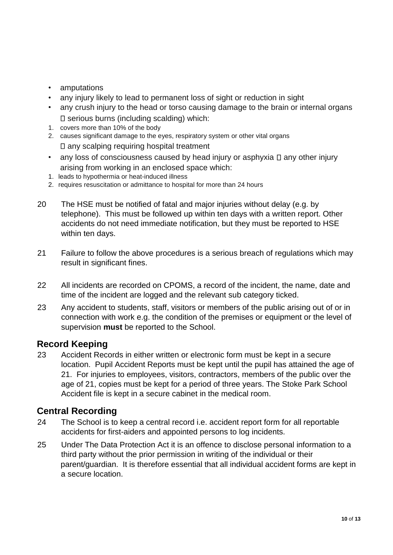- amputations
- any injury likely to lead to permanent loss of sight or reduction in sight
- any crush injury to the head or torso causing damage to the brain or internal organs  $\square$  serious burns (including scalding) which:
- 1. covers more than 10% of the body
- 2. causes significant damage to the eyes, respiratory system or other vital organs  $\square$  any scalping requiring hospital treatment
- any loss of consciousness caused by head injury or asphyxia  $\square$  any other injury arising from working in an enclosed space which:
- 1. leads to hypothermia or heat-induced illness
- 2. requires resuscitation or admittance to hospital for more than 24 hours
- 20 The HSE must be notified of fatal and major injuries without delay (e.g. by telephone). This must be followed up within ten days with a written report. Other accidents do not need immediate notification, but they must be reported to HSE within ten days.
- 21 Failure to follow the above procedures is a serious breach of regulations which may result in significant fines.
- 22 All incidents are recorded on CPOMS, a record of the incident, the name, date and time of the incident are logged and the relevant sub category ticked.
- 23 Any accident to students, staff, visitors or members of the public arising out of or in connection with work e.g. the condition of the premises or equipment or the level of supervision **must** be reported to the School.

#### **Record Keeping**

23 Accident Records in either written or electronic form must be kept in a secure location. Pupil Accident Reports must be kept until the pupil has attained the age of 21. For injuries to employees, visitors, contractors, members of the public over the age of 21, copies must be kept for a period of three years. The Stoke Park School Accident file is kept in a secure cabinet in the medical room.

#### **Central Recording**

- 24 The School is to keep a central record i.e. accident report form for all reportable accidents for first-aiders and appointed persons to log incidents.
- 25 Under The Data Protection Act it is an offence to disclose personal information to a third party without the prior permission in writing of the individual or their parent/guardian. It is therefore essential that all individual accident forms are kept in a secure location.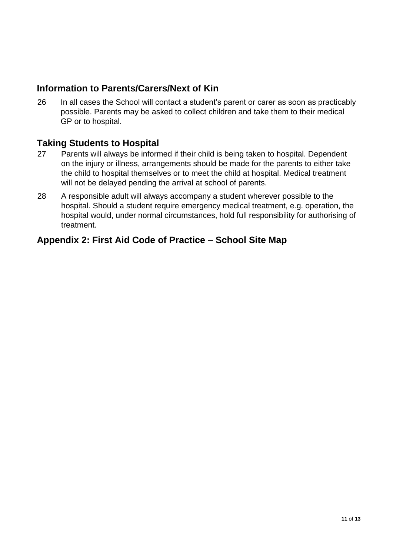## **Information to Parents/Carers/Next of Kin**

26 In all cases the School will contact a student's parent or carer as soon as practicably possible. Parents may be asked to collect children and take them to their medical GP or to hospital.

#### **Taking Students to Hospital**

- 27 Parents will always be informed if their child is being taken to hospital. Dependent on the injury or illness, arrangements should be made for the parents to either take the child to hospital themselves or to meet the child at hospital. Medical treatment will not be delayed pending the arrival at school of parents.
- 28 A responsible adult will always accompany a student wherever possible to the hospital. Should a student require emergency medical treatment, e.g. operation, the hospital would, under normal circumstances, hold full responsibility for authorising of treatment.

#### **Appendix 2: First Aid Code of Practice – School Site Map**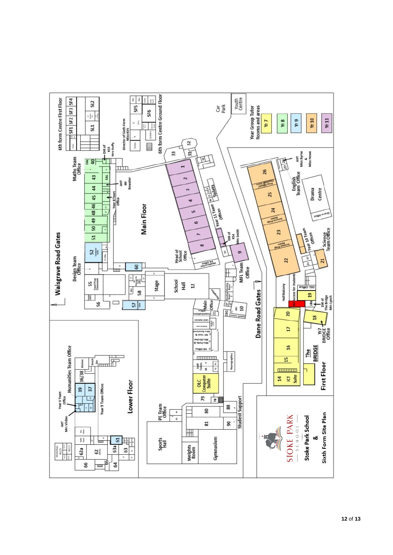